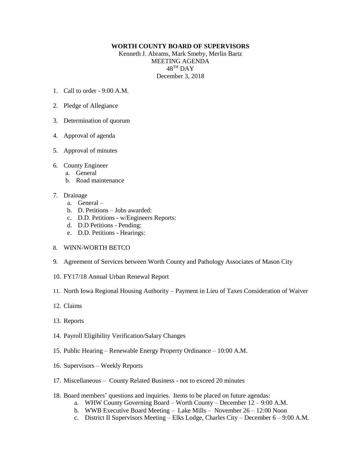## **WORTH COUNTY BOARD OF SUPERVISORS**

Kenneth J. Abrams, Mark Smeby, Merlin Bartz MEETING AGENDA  $48^{\mathrm{TH}}$  DAY December 3, 2018

- 1. Call to order  $9.00 \text{ A M}$
- 2. Pledge of Allegiance
- 3. Determination of quorum
- 4. Approval of agenda
- 5. Approval of minutes
- 6. County Engineer
	- a. General
	- b. Road maintenance
- 7. Drainage
	- a. General –
	- b. D. Petitions Jobs awarded:
	- c. D.D. Petitions w/Engineers Reports:
	- d. D.D Petitions Pending:
	- e. D.D. Petitions Hearings:
- 8. WINN-WORTH BETCO
- 9. Agreement of Services between Worth County and Pathology Associates of Mason City
- 10. FY17/18 Annual Urban Renewal Report
- 11. North Iowa Regional Housing Authority Payment in Lieu of Taxes Consideration of Waiver
- 12. Claims
- 13. Reports
- 14. Payroll Eligibility Verification/Salary Changes
- 15. Public Hearing Renewable Energy Property Ordinance 10:00 A.M.
- 16. Supervisors Weekly Reports
- 17. Miscellaneous County Related Business not to exceed 20 minutes
- 18. Board members' questions and inquiries. Items to be placed on future agendas:
	- a. WHW County Governing Board Worth County December 12 9:00 A.M.
	- b. WWB Executive Board Meeting Lake Mills November 26 12:00 Noon
	- c. District II Supervisors Meeting Elks Lodge, Charles City December 6 9:00 A.M.